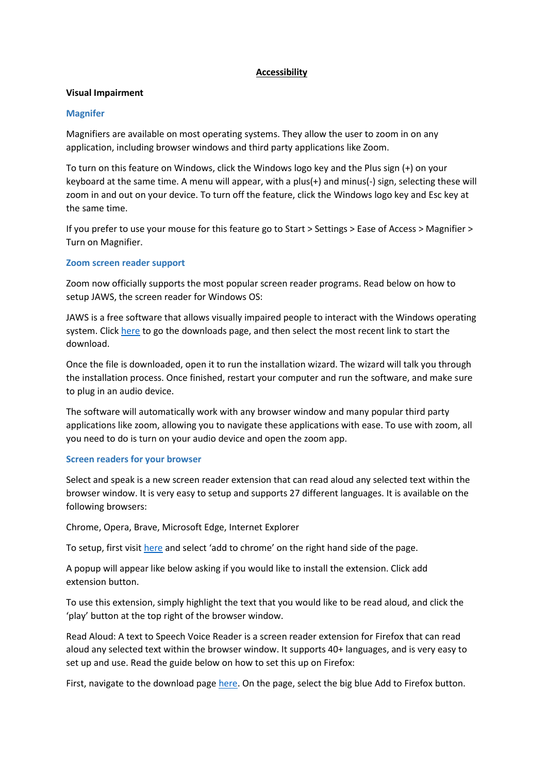## **Accessibility**

## **Visual Impairment**

## **Magnifer**

Magnifiers are available on most operating systems. They allow the user to zoom in on any application, including browser windows and third party applications like Zoom.

To turn on this feature on Windows, click the Windows logo key and the Plus sign (+) on your keyboard at the same time. A menu will appear, with a plus(+) and minus(-) sign, selecting these will zoom in and out on your device. To turn off the feature, click the Windows logo key and Esc key at the same time.

If you prefer to use your mouse for this feature go to Start > Settings > Ease of Access > Magnifier > Turn on Magnifier.

## **Zoom screen reader support**

Zoom now officially supports the most popular screen reader programs. Read below on how to setup JAWS, the screen reader for Windows OS:

JAWS is a free software that allows visually impaired people to interact with the Windows operating system. Click [here](https://support.freedomscientific.com/Downloads/JAWS) to go the downloads page, and then select the most recent link to start the download.

Once the file is downloaded, open it to run the installation wizard. The wizard will talk you through the installation process. Once finished, restart your computer and run the software, and make sure to plug in an audio device.

The software will automatically work with any browser window and many popular third party applications like zoom, allowing you to navigate these applications with ease. To use with zoom, all you need to do is turn on your audio device and open the zoom app.

## **Screen readers for your browser**

Select and speak is a new screen reader extension that can read aloud any selected text within the browser window. It is very easy to setup and supports 27 different languages. It is available on the following browsers:

Chrome, Opera, Brave, Microsoft Edge, Internet Explorer

To setup, first visit [here](https://chrome.google.com/webstore/detail/select-and-speak-text-to/gfjopfpjmkcfgjpogepmdjmcnihfpokn?hl=en) and select 'add to chrome' on the right hand side of the page.

A popup will appear like below asking if you would like to install the extension. Click add extension button.

To use this extension, simply highlight the text that you would like to be read aloud, and click the 'play' button at the top right of the browser window.

Read Aloud: A text to Speech Voice Reader is a screen reader extension for Firefox that can read aloud any selected text within the browser window. It supports 40+ languages, and is very easy to set up and use. Read the guide below on how to set this up on Firefox:

First, navigate to the download page [here.](https://addons.mozilla.org/en-GB/firefox/addon/read-aloud/) On the page, select the big blue Add to Firefox button.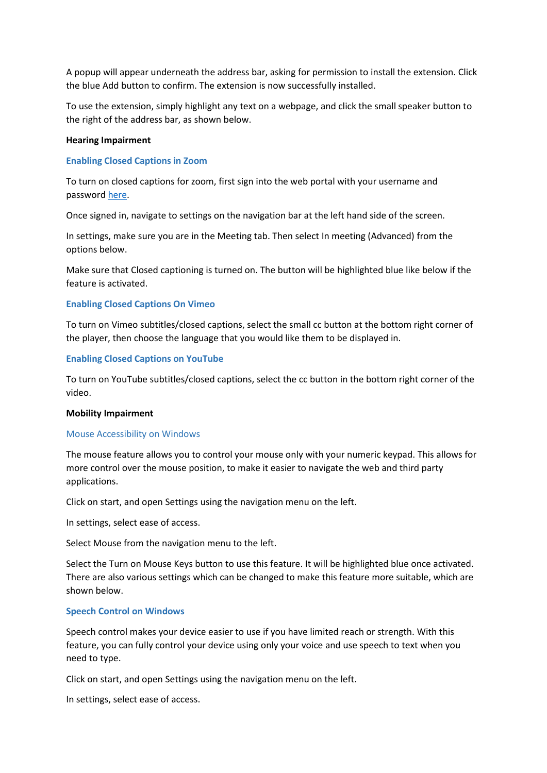A popup will appear underneath the address bar, asking for permission to install the extension. Click the blue Add button to confirm. The extension is now successfully installed.

To use the extension, simply highlight any text on a webpage, and click the small speaker button to the right of the address bar, as shown below.

### **Hearing Impairment**

### **Enabling Closed Captions in Zoom**

To turn on closed captions for zoom, first sign into the web portal with your username and password [here.](https://us04web.zoom.us/signin)

Once signed in, navigate to settings on the navigation bar at the left hand side of the screen.

In settings, make sure you are in the Meeting tab. Then select In meeting (Advanced) from the options below.

Make sure that Closed captioning is turned on. The button will be highlighted blue like below if the feature is activated.

### **Enabling Closed Captions On Vimeo**

To turn on Vimeo subtitles/closed captions, select the small cc button at the bottom right corner of the player, then choose the language that you would like them to be displayed in.

### **Enabling Closed Captions on YouTube**

To turn on YouTube subtitles/closed captions, select the cc button in the bottom right corner of the video.

#### **Mobility Impairment**

#### Mouse Accessibility on Windows

The mouse feature allows you to control your mouse only with your numeric keypad. This allows for more control over the mouse position, to make it easier to navigate the web and third party applications.

Click on start, and open Settings using the navigation menu on the left.

In settings, select ease of access.

Select Mouse from the navigation menu to the left.

Select the Turn on Mouse Keys button to use this feature. It will be highlighted blue once activated. There are also various settings which can be changed to make this feature more suitable, which are shown below.

### **Speech Control on Windows**

Speech control makes your device easier to use if you have limited reach or strength. With this feature, you can fully control your device using only your voice and use speech to text when you need to type.

Click on start, and open Settings using the navigation menu on the left.

In settings, select ease of access.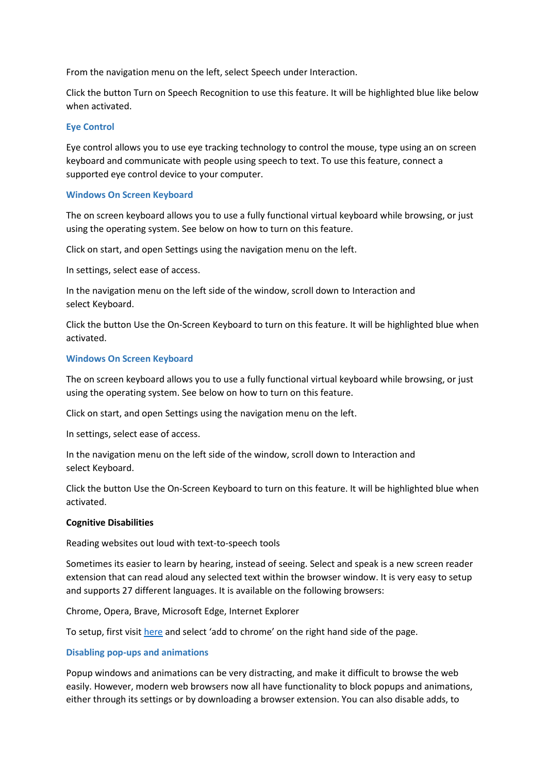From the navigation menu on the left, select Speech under Interaction.

Click the button Turn on Speech Recognition to use this feature. It will be highlighted blue like below when activated.

## **Eye Control**

Eye control allows you to use eye tracking technology to control the mouse, type using an on screen keyboard and communicate with people using speech to text. To use this feature, connect a supported eye control device to your computer.

## **Windows On Screen Keyboard**

The on screen keyboard allows you to use a fully functional virtual keyboard while browsing, or just using the operating system. See below on how to turn on this feature.

Click on start, and open Settings using the navigation menu on the left.

In settings, select ease of access.

In the navigation menu on the left side of the window, scroll down to Interaction and select Keyboard.

Click the button Use the On-Screen Keyboard to turn on this feature. It will be highlighted blue when activated.

## **Windows On Screen Keyboard**

The on screen keyboard allows you to use a fully functional virtual keyboard while browsing, or just using the operating system. See below on how to turn on this feature.

Click on start, and open Settings using the navigation menu on the left.

In settings, select ease of access.

In the navigation menu on the left side of the window, scroll down to Interaction and select Keyboard.

Click the button Use the On-Screen Keyboard to turn on this feature. It will be highlighted blue when activated.

## **Cognitive Disabilities**

Reading websites out loud with text-to-speech tools

Sometimes its easier to learn by hearing, instead of seeing. Select and speak is a new screen reader extension that can read aloud any selected text within the browser window. It is very easy to setup and supports 27 different languages. It is available on the following browsers:

Chrome, Opera, Brave, Microsoft Edge, Internet Explorer

To setup, first visit [here](https://chrome.google.com/webstore/detail/select-and-speak-text-to/gfjopfpjmkcfgjpogepmdjmcnihfpokn?hl=en) and select 'add to chrome' on the right hand side of the page.

## **Disabling pop-ups and animations**

Popup windows and animations can be very distracting, and make it difficult to browse the web easily. However, modern web browsers now all have functionality to block popups and animations, either through its settings or by downloading a browser extension. You can also disable adds, to